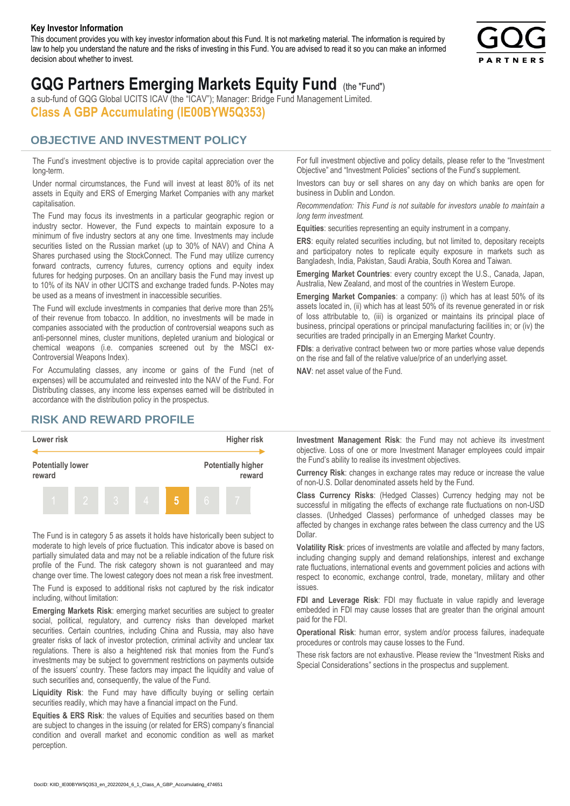#### **Key Investor Information**

This document provides you with key investor information about this Fund. It is not marketing material. The information is required by law to help you understand the nature and the risks of investing in this Fund. You are advised to read it so you can make an informed decision about whether to invest.



# **GQG Partners Emerging Markets Equity Fund** (the "Fund")

a sub-fund of GQG Global UCITS ICAV (the "ICAV"); Manager: Bridge Fund Management Limited. **Class A GBP Accumulating (IE00BYW5Q353)**

### **OBJECTIVE AND INVESTMENT POLICY**

The Fund's investment objective is to provide capital appreciation over the long-term.

Under normal circumstances, the Fund will invest at least 80% of its net assets in Equity and ERS of Emerging Market Companies with any market capitalisation.

The Fund may focus its investments in a particular geographic region or industry sector. However, the Fund expects to maintain exposure to a minimum of five industry sectors at any one time. Investments may include securities listed on the Russian market (up to 30% of NAV) and China A Shares purchased using the StockConnect. The Fund may utilize currency forward contracts, currency futures, currency options and equity index futures for hedging purposes. On an ancillary basis the Fund may invest up to 10% of its NAV in other UCITS and exchange traded funds. P-Notes may be used as a means of investment in inaccessible securities.

The Fund will exclude investments in companies that derive more than 25% of their revenue from tobacco. In addition, no investments will be made in companies associated with the production of controversial weapons such as anti-personnel mines, cluster munitions, depleted uranium and biological or chemical weapons (i.e. companies screened out by the MSCI ex-Controversial Weapons Index).

For Accumulating classes, any income or gains of the Fund (net of expenses) will be accumulated and reinvested into the NAV of the Fund. For Distributing classes, any income less expenses earned will be distributed in accordance with the distribution policy in the prospectus.

## **RISK AND REWARD PROFILE**



The Fund is in category 5 as assets it holds have historically been subject to moderate to high levels of price fluctuation. This indicator above is based on partially simulated data and may not be a reliable indication of the future risk profile of the Fund. The risk category shown is not guaranteed and may change over time. The lowest category does not mean a risk free investment.

The Fund is exposed to additional risks not captured by the risk indicator including, without limitation:

**Emerging Markets Risk**: emerging market securities are subject to greater social, political, regulatory, and currency risks than developed market securities. Certain countries, including China and Russia, may also have greater risks of lack of investor protection, criminal activity and unclear tax regulations. There is also a heightened risk that monies from the Fund's investments may be subject to government restrictions on payments outside of the issuers' country. These factors may impact the liquidity and value of such securities and, consequently, the value of the Fund.

**Liquidity Risk**: the Fund may have difficulty buying or selling certain securities readily, which may have a financial impact on the Fund.

**Equities & ERS Risk**: the values of Equities and securities based on them are subject to changes in the issuing (or related for ERS) company's financial condition and overall market and economic condition as well as market perception.

For full investment objective and policy details, please refer to the "Investment Objective" and "Investment Policies" sections of the Fund's supplement.

Investors can buy or sell shares on any day on which banks are open for business in Dublin and London.

*Recommendation: This Fund is not suitable for investors unable to maintain a long term investment.*

**Equities**: securities representing an equity instrument in a company.

**ERS:** equity related securities including, but not limited to, depositary receipts and participatory notes to replicate equity exposure in markets such as Bangladesh, India, Pakistan, Saudi Arabia, South Korea and Taiwan.

**Emerging Market Countries**: every country except the U.S., Canada, Japan, Australia, New Zealand, and most of the countries in Western Europe.

**Emerging Market Companies**: a company: (i) which has at least 50% of its assets located in, (ii) which has at least 50% of its revenue generated in or risk of loss attributable to, (iii) is organized or maintains its principal place of business, principal operations or principal manufacturing facilities in; or (iv) the securities are traded principally in an Emerging Market Country.

**FDIs**: a derivative contract between two or more parties whose value depends on the rise and fall of the relative value/price of an underlying asset.

**NAV**: net asset value of the Fund.

**Investment Management Risk**: the Fund may not achieve its investment objective. Loss of one or more Investment Manager employees could impair the Fund's ability to realise its investment objectives.

**Currency Risk**: changes in exchange rates may reduce or increase the value of non-U.S. Dollar denominated assets held by the Fund.

**Class Currency Risks**: (Hedged Classes) Currency hedging may not be successful in mitigating the effects of exchange rate fluctuations on non-USD classes. (Unhedged Classes) performance of unhedged classes may be affected by changes in exchange rates between the class currency and the US Dollar.

**Volatility Risk**: prices of investments are volatile and affected by many factors, including changing supply and demand relationships, interest and exchange rate fluctuations, international events and government policies and actions with respect to economic, exchange control, trade, monetary, military and other issues.

**FDI and Leverage Risk**: FDI may fluctuate in value rapidly and leverage embedded in FDI may cause losses that are greater than the original amount paid for the FDI.

**Operational Risk**: human error, system and/or process failures, inadequate procedures or controls may cause losses to the Fund.

These risk factors are not exhaustive. Please review the "Investment Risks and Special Considerations" sections in the prospectus and supplement.